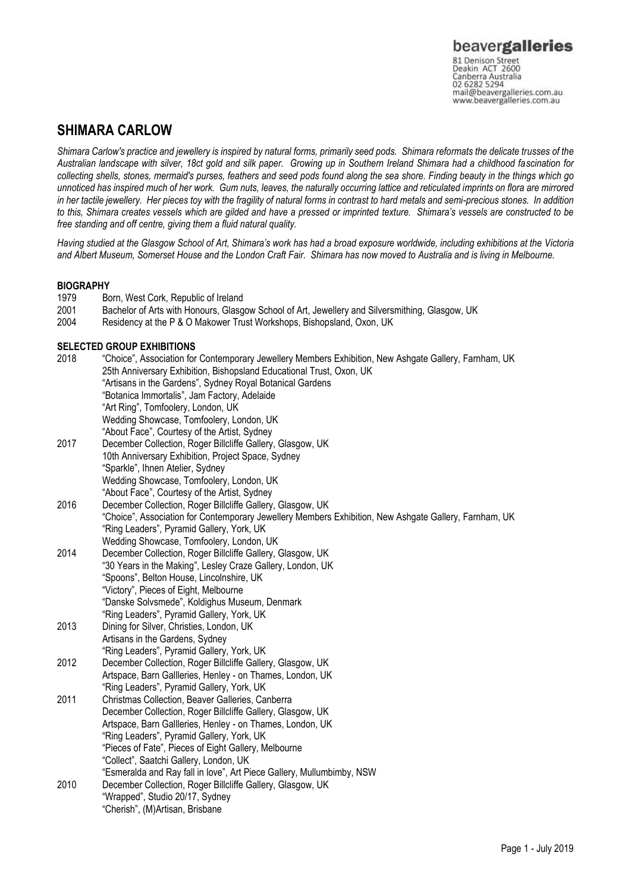## **SHIMARA CARLOW**

*Shimara Carlow's practice and jewellery is inspired by natural forms, primarily seed pods. Shimara reformats the delicate trusses of the Australian landscape with silver, 18ct gold and silk paper. Growing up in Southern Ireland Shimara had a childhood fascination for collecting shells, stones, mermaid's purses, feathers and seed pods found along the sea shore. Finding beauty in the things which go unnoticed has inspired much of her work. Gum nuts, leaves, the naturally occurring lattice and reticulated imprints on flora are mirrored in her tactile jewellery. Her pieces toy with the fragility of natural forms in contrast to hard metals and semi-precious stones. In addition*  to this, Shimara creates vessels which are gilded and have a pressed or imprinted texture. Shimara's vessels are constructed to be *free standing and off centre, giving them a fluid natural quality.* 

Having studied at the Glasgow School of Art, Shimara's work has had a broad exposure worldwide, including exhibitions at the Victoria *and Albert Museum, Somerset House and the London Craft Fair. Shimara has now moved to Australia and is living in Melbourne.* 

# **BIOGRAPHY**<br>1979 Be

- Born, West Cork, Republic of Ireland
- 2001 Bachelor of Arts with Honours, Glasgow School of Art, Jewellery and Silversmithing, Glasgow, UK
- 2004 Residency at the P & O Makower Trust Workshops, Bishopsland, Oxon, UK

### **SELECTED GROUP EXHIBITIONS**

| 25th Anniversary Exhibition, Bishopsland Educational Trust, Oxon, UK                                  |  |
|-------------------------------------------------------------------------------------------------------|--|
| "Artisans in the Gardens", Sydney Royal Botanical Gardens                                             |  |
| "Botanica Immortalis", Jam Factory, Adelaide                                                          |  |
| "Art Ring", Tomfoolery, London, UK                                                                    |  |
| Wedding Showcase, Tomfoolery, London, UK                                                              |  |
| "About Face", Courtesy of the Artist, Sydney                                                          |  |
| December Collection, Roger Billcliffe Gallery, Glasgow, UK<br>2017                                    |  |
| 10th Anniversary Exhibition, Project Space, Sydney                                                    |  |
| "Sparkle", Ihnen Atelier, Sydney                                                                      |  |
| Wedding Showcase, Tomfoolery, London, UK                                                              |  |
| "About Face", Courtesy of the Artist, Sydney                                                          |  |
| 2016<br>December Collection, Roger Billcliffe Gallery, Glasgow, UK                                    |  |
| "Choice", Association for Contemporary Jewellery Members Exhibition, New Ashgate Gallery, Farnham, UK |  |
| "Ring Leaders", Pyramid Gallery, York, UK                                                             |  |
| Wedding Showcase, Tomfoolery, London, UK                                                              |  |
| 2014<br>December Collection, Roger Billcliffe Gallery, Glasgow, UK                                    |  |
| "30 Years in the Making", Lesley Craze Gallery, London, UK                                            |  |
| "Spoons", Belton House, Lincolnshire, UK                                                              |  |
| "Victory", Pieces of Eight, Melbourne                                                                 |  |
| "Danske Solvsmede", Koldighus Museum, Denmark                                                         |  |
| "Ring Leaders", Pyramid Gallery, York, UK                                                             |  |
| 2013<br>Dining for Silver, Christies, London, UK                                                      |  |
| Artisans in the Gardens, Sydney                                                                       |  |
| "Ring Leaders", Pyramid Gallery, York, UK                                                             |  |
| 2012<br>December Collection, Roger Billcliffe Gallery, Glasgow, UK                                    |  |
| Artspace, Barn Gallleries, Henley - on Thames, London, UK                                             |  |
| "Ring Leaders", Pyramid Gallery, York, UK                                                             |  |
| 2011<br>Christmas Collection, Beaver Galleries, Canberra                                              |  |
| December Collection, Roger Billcliffe Gallery, Glasgow, UK                                            |  |
| Artspace, Barn Gallleries, Henley - on Thames, London, UK                                             |  |
| "Ring Leaders", Pyramid Gallery, York, UK                                                             |  |
| "Pieces of Fate", Pieces of Eight Gallery, Melbourne                                                  |  |
| "Collect", Saatchi Gallery, London, UK                                                                |  |
| "Esmeralda and Ray fall in love", Art Piece Gallery, Mullumbimby, NSW                                 |  |
| 2010<br>December Collection, Roger Billcliffe Gallery, Glasgow, UK                                    |  |
| "Wrapped", Studio 20/17, Sydney                                                                       |  |
| "Cherish", (M)Artisan, Brisbane                                                                       |  |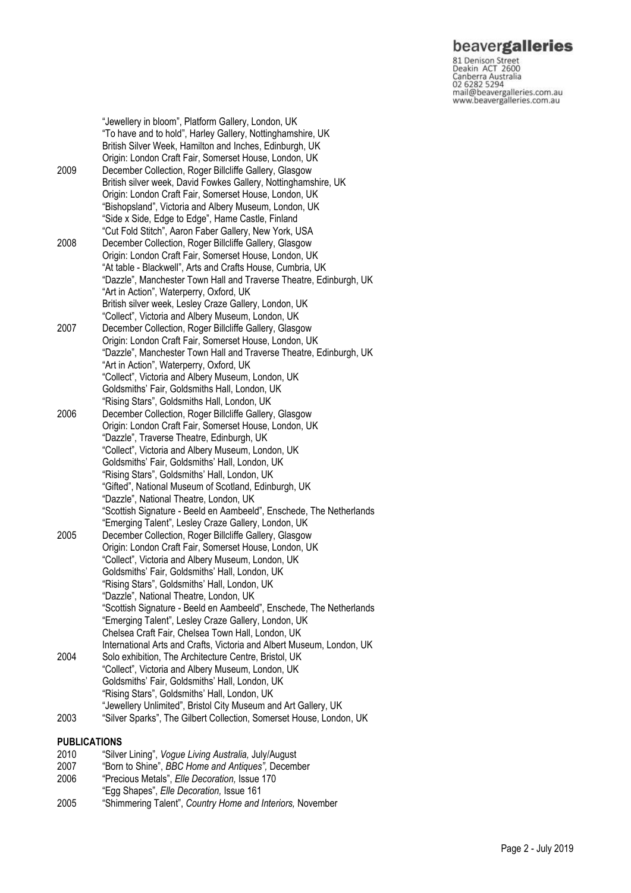# beavergalleries

81 Denison Street<br>Deakin ACT 2600 Canberra Australia 02 6282 5294 mail@beavergalleries.com.au www.beavergalleries.com.au

"Jewellery in bloom", Platform Gallery, London, UK "To have and to hold", Harley Gallery, Nottinghamshire, UK British Silver Week, Hamilton and Inches, Edinburgh, UK Origin: London Craft Fair, Somerset House, London, UK 2009 December Collection, Roger Billcliffe Gallery, Glasgow British silver week, David Fowkes Gallery, Nottinghamshire, UK Origin: London Craft Fair, Somerset House, London, UK "Bishopsland", Victoria and Albery Museum, London, UK "Side x Side, Edge to Edge", Hame Castle, Finland "Cut Fold Stitch", Aaron Faber Gallery, New York, USA 2008 December Collection, Roger Billcliffe Gallery, Glasgow Origin: London Craft Fair, Somerset House, London, UK "At table - Blackwell", Arts and Crafts House, Cumbria, UK "Dazzle", Manchester Town Hall and Traverse Theatre, Edinburgh, UK "Art in Action", Waterperry, Oxford, UK British silver week, Lesley Craze Gallery, London, UK "Collect", Victoria and Albery Museum, London, UK 2007 December Collection, Roger Billcliffe Gallery, Glasgow Origin: London Craft Fair, Somerset House, London, UK "Dazzle", Manchester Town Hall and Traverse Theatre, Edinburgh, UK "Art in Action", Waterperry, Oxford, UK "Collect", Victoria and Albery Museum, London, UK Goldsmiths' Fair, Goldsmiths Hall, London, UK "Rising Stars", Goldsmiths Hall, London, UK 2006 December Collection, Roger Billcliffe Gallery, Glasgow Origin: London Craft Fair, Somerset House, London, UK "Dazzle", Traverse Theatre, Edinburgh, UK "Collect", Victoria and Albery Museum, London, UK Goldsmiths' Fair, Goldsmiths' Hall, London, UK "Rising Stars", Goldsmiths' Hall, London, UK "Gifted", National Museum of Scotland, Edinburgh, UK "Dazzle", National Theatre, London, UK "Scottish Signature - Beeld en Aambeeld", Enschede, The Netherlands "Emerging Talent", Lesley Craze Gallery, London, UK 2005 December Collection, Roger Billcliffe Gallery, Glasgow Origin: London Craft Fair, Somerset House, London, U K "Collect", Victoria and Albery Museum, London, UK Goldsmiths' Fair, Goldsmiths' Hall, London, UK "Rising Stars", Goldsmiths' Hall, London, UK "Dazzle", National Theatre, London, UK "Scottish Signature - Beeld en Aambeeld", Enschede, The Netherlands "Emerging Talent", Lesley Craze Gallery, London, UK Chelsea Craft Fair, Chelsea Town Hall, London, UK International Arts and Crafts, Victoria and Albert Museum, London, UK 2004 Solo exhibition, The Architecture Centre, Bristol, UK "Collect", Victoria and Albery Museum, London, UK Goldsmiths' Fair, Goldsmiths' Hall, London, UK "Rising Stars", Goldsmiths' Hall, London, UK "Jewellery Unlimited", Bristol City Museum and Art Gallery, UK 2003 "Silver Sparks", The Gilbert Collection, Somerset House, London, UK

#### **PUBLICATIONS**

- 2010 "Silver Lining", *Vogue Living Australia,* July/August
- 2007 "Born to Shine", *BBC Home and Antiques",* December
- 2006 "Precious Metals", *Elle Decoration,* Issue 170
- "Egg Shapes", *Elle Decoration,* Issue 161
- 2005 "Shimmering Talent", *Country Home and Interiors,* November